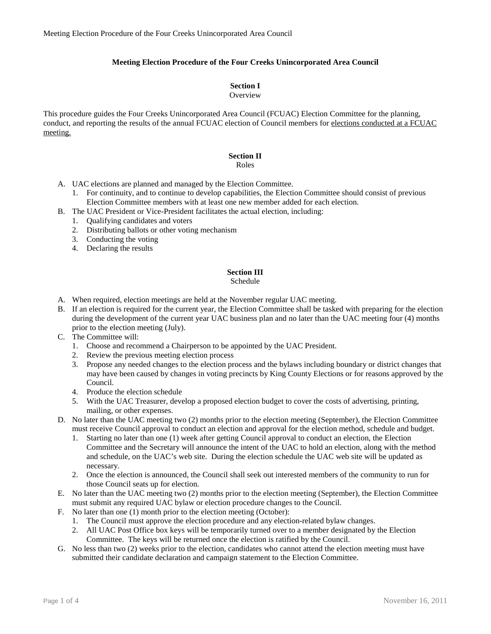# **Meeting Election Procedure of the Four Creeks Unincorporated Area Council**

# **Section I**

### **Overview**

This procedure guides the Four Creeks Unincorporated Area Council (FCUAC) Election Committee for the planning, conduct, and reporting the results of the annual FCUAC election of Council members for elections conducted at a FCUAC meeting.

# **Section II**

# Roles

- A. UAC elections are planned and managed by the Election Committee.
	- 1. For continuity, and to continue to develop capabilities, the Election Committee should consist of previous Election Committee members with at least one new member added for each election.
- B. The UAC President or Vice-President facilitates the actual election, including:
	- 1. Qualifying candidates and voters
	- 2. Distributing ballots or other voting mechanism
	- 3. Conducting the voting
	- 4. Declaring the results

# **Section III**

## Schedule

- A. When required, election meetings are held at the November regular UAC meeting.
- B. If an election is required for the current year, the Election Committee shall be tasked with preparing for the election during the development of the current year UAC business plan and no later than the UAC meeting four (4) months prior to the election meeting (July).
- C. The Committee will:
	- 1. Choose and recommend a Chairperson to be appointed by the UAC President.
	- 2. Review the previous meeting election process
	- 3. Propose any needed changes to the election process and the bylaws including boundary or district changes that may have been caused by changes in voting precincts by King County Elections or for reasons approved by the Council.
	- 4. Produce the election schedule
	- 5. With the UAC Treasurer, develop a proposed election budget to cover the costs of advertising, printing, mailing, or other expenses.
- D. No later than the UAC meeting two (2) months prior to the election meeting (September), the Election Committee must receive Council approval to conduct an election and approval for the election method, schedule and budget.
	- 1. Starting no later than one (1) week after getting Council approval to conduct an election, the Election Committee and the Secretary will announce the intent of the UAC to hold an election, along with the method and schedule, on the UAC's web site. During the election schedule the UAC web site will be updated as necessary.
	- 2. Once the election is announced, the Council shall seek out interested members of the community to run for those Council seats up for election.
- E. No later than the UAC meeting two (2) months prior to the election meeting (September), the Election Committee must submit any required UAC bylaw or election procedure changes to the Council.
- F. No later than one (1) month prior to the election meeting (October):
	- 1. The Council must approve the election procedure and any election-related bylaw changes.
	- 2. All UAC Post Office box keys will be temporarily turned over to a member designated by the Election Committee. The keys will be returned once the election is ratified by the Council.
- G. No less than two (2) weeks prior to the election, candidates who cannot attend the election meeting must have submitted their candidate declaration and campaign statement to the Election Committee.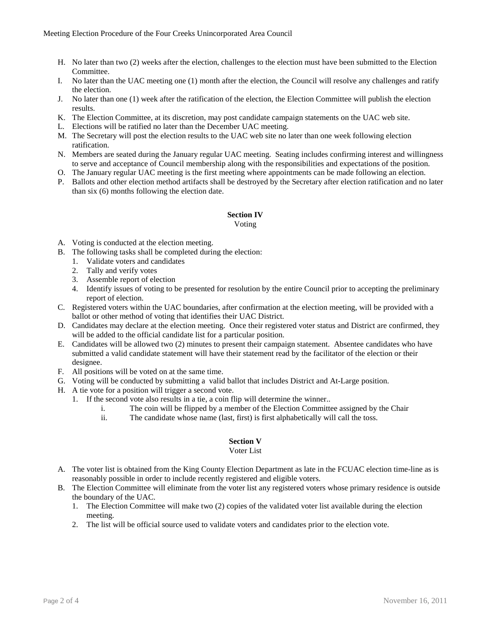- H. No later than two (2) weeks after the election, challenges to the election must have been submitted to the Election Committee.
- I. No later than the UAC meeting one (1) month after the election, the Council will resolve any challenges and ratify the election.
- J. No later than one (1) week after the ratification of the election, the Election Committee will publish the election results.
- K. The Election Committee, at its discretion, may post candidate campaign statements on the UAC web site.
- L. Elections will be ratified no later than the December UAC meeting.
- M. The Secretary will post the election results to the UAC web site no later than one week following election ratification.
- N. Members are seated during the January regular UAC meeting. Seating includes confirming interest and willingness to serve and acceptance of Council membership along with the responsibilities and expectations of the position.
- O. The January regular UAC meeting is the first meeting where appointments can be made following an election.
- P. Ballots and other election method artifacts shall be destroyed by the Secretary after election ratification and no later than six (6) months following the election date.

# **Section IV**

### Voting

- A. Voting is conducted at the election meeting.
- B. The following tasks shall be completed during the election:
	- 1. Validate voters and candidates
	- 2. Tally and verify votes
	- 3. Assemble report of election
	- 4. Identify issues of voting to be presented for resolution by the entire Council prior to accepting the preliminary report of election.
- C. Registered voters within the UAC boundaries, after confirmation at the election meeting, will be provided with a ballot or other method of voting that identifies their UAC District.
- D. Candidates may declare at the election meeting. Once their registered voter status and District are confirmed, they will be added to the official candidate list for a particular position.
- E. Candidates will be allowed two (2) minutes to present their campaign statement. Absentee candidates who have submitted a valid candidate statement will have their statement read by the facilitator of the election or their designee.
- F. All positions will be voted on at the same time.
- G. Voting will be conducted by submitting a valid ballot that includes District and At-Large position.
- H. A tie vote for a position will trigger a second vote.
	- 1. If the second vote also results in a tie, a coin flip will determine the winner..
		- i. The coin will be flipped by a member of the Election Committee assigned by the Chair
		- ii. The candidate whose name (last, first) is first alphabetically will call the toss.

## **Section V**

### Voter List

- A. The voter list is obtained from the King County Election Department as late in the FCUAC election time-line as is reasonably possible in order to include recently registered and eligible voters.
- B. The Election Committee will eliminate from the voter list any registered voters whose primary residence is outside the boundary of the UAC.
	- 1. The Election Committee will make two (2) copies of the validated voter list available during the election meeting.
	- 2. The list will be official source used to validate voters and candidates prior to the election vote.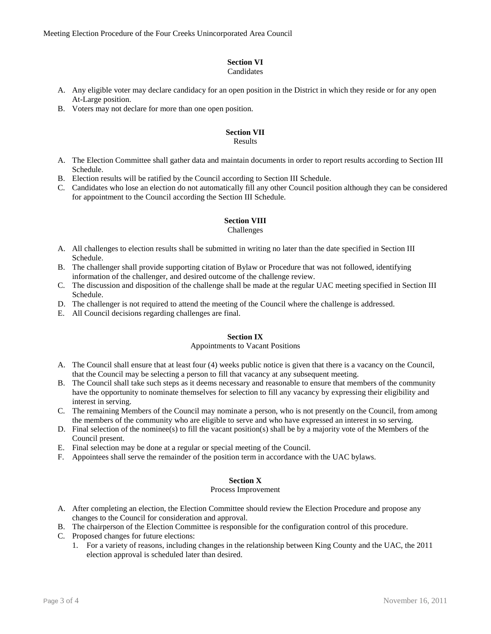# **Section VI**

# Candidates

- A. Any eligible voter may declare candidacy for an open position in the District in which they reside or for any open At-Large position.
- B. Voters may not declare for more than one open position.

# **Section VII**

### Results

- A. The Election Committee shall gather data and maintain documents in order to report results according to Section III Schedule.
- B. Election results will be ratified by the Council according to Section III Schedule.
- C. Candidates who lose an election do not automatically fill any other Council position although they can be considered for appointment to the Council according the Section III Schedule.

# **Section VIII**

### Challenges

- A. All challenges to election results shall be submitted in writing no later than the date specified in Section III Schedule.
- B. The challenger shall provide supporting citation of Bylaw or Procedure that was not followed, identifying information of the challenger, and desired outcome of the challenge review.
- C. The discussion and disposition of the challenge shall be made at the regular UAC meeting specified in Section III Schedule.
- D. The challenger is not required to attend the meeting of the Council where the challenge is addressed.
- E. All Council decisions regarding challenges are final.

## **Section IX**

### Appointments to Vacant Positions

- A. The Council shall ensure that at least four (4) weeks public notice is given that there is a vacancy on the Council, that the Council may be selecting a person to fill that vacancy at any subsequent meeting.
- B. The Council shall take such steps as it deems necessary and reasonable to ensure that members of the community have the opportunity to nominate themselves for selection to fill any vacancy by expressing their eligibility and interest in serving.
- C. The remaining Members of the Council may nominate a person, who is not presently on the Council, from among the members of the community who are eligible to serve and who have expressed an interest in so serving.
- D. Final selection of the nominee(s) to fill the vacant position(s) shall be by a majority vote of the Members of the Council present.
- E. Final selection may be done at a regular or special meeting of the Council.
- F. Appointees shall serve the remainder of the position term in accordance with the UAC bylaws.

## **Section X**

### Process Improvement

- A. After completing an election, the Election Committee should review the Election Procedure and propose any changes to the Council for consideration and approval.
- B. The chairperson of the Election Committee is responsible for the configuration control of this procedure.
- C. Proposed changes for future elections:
	- 1. For a variety of reasons, including changes in the relationship between King County and the UAC, the 2011 election approval is scheduled later than desired.